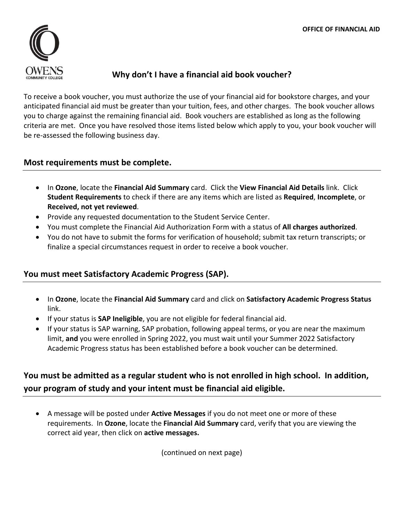

## **Why don't I have a financial aid book voucher?**

To receive a book voucher, you must authorize the use of your financial aid for bookstore charges, and your anticipated financial aid must be greater than your tuition, fees, and other charges. The book voucher allows you to charge against the remaining financial aid. Book vouchers are established as long as the following criteria are met. Once you have resolved those items listed below which apply to you, your book voucher will be re‐assessed the following business day.

#### **Most requirements must be complete.**

- In **Ozone**, locate the **Financial Aid Summary** card. Click the **View Financial Aid Details** link. Click **Student Requirements** to check if there are any items which are listed as **Required**, **Incomplete**, or **Received, not yet reviewed**.
- Provide any requested documentation to the Student Service Center.
- You must complete the Financial Aid Authorization Form with a status of **All charges authorized**.
- You do not have to submit the forms for verification of household; submit tax return transcripts; or finalize a special circumstances request in order to receive a book voucher.

### **You must meet Satisfactory Academic Progress (SAP).**

- In **Ozone**, locate the **Financial Aid Summary** card and click on **Satisfactory Academic Progress Status** link.
- If your status is **SAP Ineligible**, you are not eligible for federal financial aid.
- If your status is SAP warning, SAP probation, following appeal terms, or you are near the maximum limit, **and** you were enrolled in Spring 2022, you must wait until your Summer 2022 Satisfactory Academic Progress status has been established before a book voucher can be determined.

# **You must be admitted as a regular student who is not enrolled in high school. In addition, your program of study and your intent must be financial aid eligible.**

 A message will be posted under **Active Messages** if you do not meet one or more of these requirements. In **Ozone**, locate the **Financial Aid Summary** card, verify that you are viewing the correct aid year, then click on **active messages.**

(continued on next page)